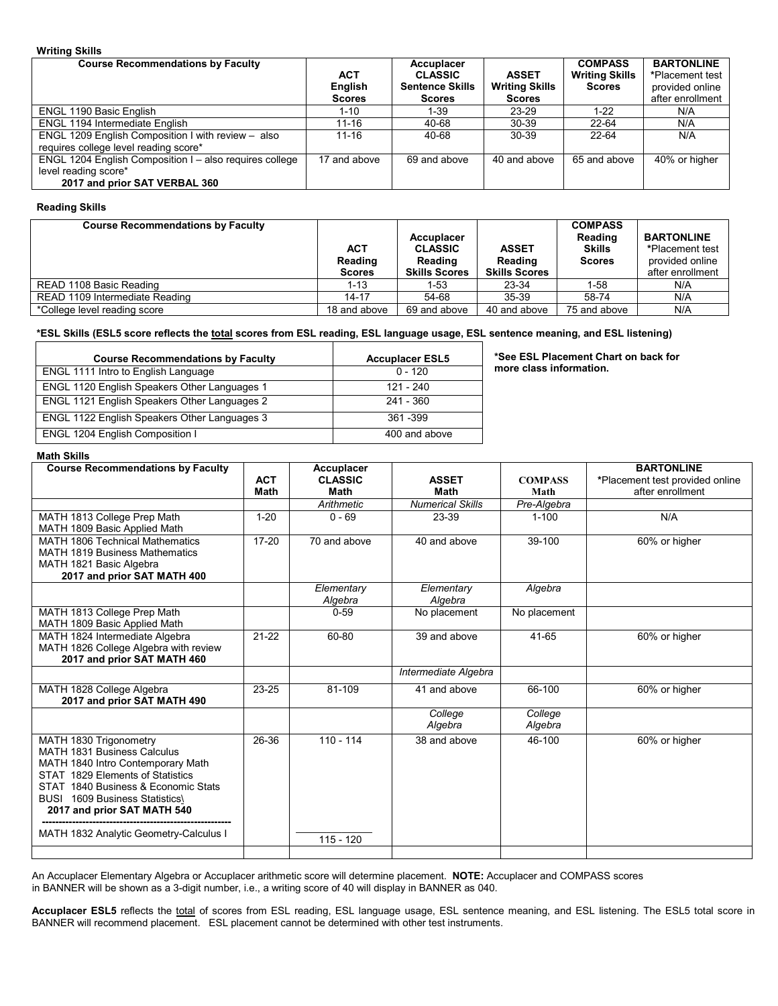## **Writing Skills**

| <b>Course Recommendations by Faculty</b>                | <b>ACT</b><br>English<br><b>Scores</b> | Accuplacer<br><b>CLASSIC</b><br><b>Sentence Skills</b><br><b>Scores</b> | <b>ASSET</b><br><b>Writing Skills</b><br><b>Scores</b> | <b>COMPASS</b><br><b>Writing Skills</b><br><b>Scores</b> | <b>BARTONLINE</b><br>*Placement test<br>provided online<br>after enrollment |
|---------------------------------------------------------|----------------------------------------|-------------------------------------------------------------------------|--------------------------------------------------------|----------------------------------------------------------|-----------------------------------------------------------------------------|
| ENGL 1190 Basic English                                 | 1-10                                   | 1-39                                                                    | 23-29                                                  | 1-22                                                     | N/A                                                                         |
| <b>ENGL 1194 Intermediate English</b>                   | $11 - 16$                              | 40-68                                                                   | $30-39$                                                | 22-64                                                    | N/A                                                                         |
| ENGL 1209 English Composition I with review - also      | $11 - 16$                              | 40-68                                                                   | $30-39$                                                | 22-64                                                    | N/A                                                                         |
| requires college level reading score*                   |                                        |                                                                         |                                                        |                                                          |                                                                             |
| ENGL 1204 English Composition I - also requires college | 17 and above                           | 69 and above                                                            | 40 and above                                           | 65 and above                                             | 40% or higher                                                               |
| level reading score*                                    |                                        |                                                                         |                                                        |                                                          |                                                                             |
| 2017 and prior SAT VERBAL 360                           |                                        |                                                                         |                                                        |                                                          |                                                                             |

## **Reading Skills**

| <b>Course Recommendations by Faculty</b> | <b>ACT</b><br>Reading<br><b>Scores</b> | Accuplacer<br><b>CLASSIC</b><br>Reading<br><b>Skills Scores</b> | <b>ASSET</b><br>Reading<br><b>Skills Scores</b> | <b>COMPASS</b><br>Reading<br><b>Skills</b><br><b>Scores</b> | <b>BARTONLINE</b><br>*Placement test<br>provided online<br>after enrollment |
|------------------------------------------|----------------------------------------|-----------------------------------------------------------------|-------------------------------------------------|-------------------------------------------------------------|-----------------------------------------------------------------------------|
| READ 1108 Basic Reading                  | $1 - 13$                               | 1-53                                                            | 23-34                                           | 1-58                                                        | N/A                                                                         |
| READ 1109 Intermediate Reading           | $14 - 17$                              | 54-68                                                           | 35-39                                           | 58-74                                                       | N/A                                                                         |
| *College level reading score             | 18 and above                           | 69 and above                                                    | 40 and above                                    | 75 and above                                                | N/A                                                                         |

# **\*ESL Skills (ESL5 score reflects the total scores from ESL reading, ESL language usage, ESL sentence meaning, and ESL listening)**

| <b>Course Recommendations by Faculty</b>     | <b>Accuplacer ESL5</b> |
|----------------------------------------------|------------------------|
| ENGL 1111 Intro to English Language          | $0 - 120$              |
| ENGL 1120 English Speakers Other Languages 1 | 121 - 240              |
| ENGL 1121 English Speakers Other Languages 2 | 241 - 360              |
| ENGL 1122 English Speakers Other Languages 3 | 361 - 399              |
| <b>ENGL 1204 English Composition I</b>       | 400 and above          |

**\*See ESL Placement Chart on back for more class information.** 

# **Math Skills**

| <b>Course Recommendations by Faculty</b>                     |             | Accuplacer            |                         |                | <b>BARTONLINE</b>               |
|--------------------------------------------------------------|-------------|-----------------------|-------------------------|----------------|---------------------------------|
|                                                              | <b>ACT</b>  | <b>CLASSIC</b>        | <b>ASSET</b>            | <b>COMPASS</b> | *Placement test provided online |
|                                                              | <b>Math</b> | Math                  | <b>Math</b>             | Math           | after enrollment                |
|                                                              |             | Arithmetic            | <b>Numerical Skills</b> | Pre-Algebra    |                                 |
| MATH 1813 College Prep Math                                  | $1 - 20$    | $0 - 69$              | 23-39                   | $1 - 100$      | N/A                             |
| MATH 1809 Basic Applied Math                                 |             |                       |                         |                |                                 |
| <b>MATH 1806 Technical Mathematics</b>                       | $17-20$     | 70 and above          | 40 and above            | 39-100         | 60% or higher                   |
| <b>MATH 1819 Business Mathematics</b>                        |             |                       |                         |                |                                 |
| MATH 1821 Basic Algebra                                      |             |                       |                         |                |                                 |
| 2017 and prior SAT MATH 400                                  |             |                       |                         |                |                                 |
|                                                              |             | Elementary<br>Algebra | Elementary<br>Algebra   | Algebra        |                                 |
| MATH 1813 College Prep Math                                  |             | $0 - 59$              | No placement            | No placement   |                                 |
| MATH 1809 Basic Applied Math                                 |             |                       |                         |                |                                 |
| MATH 1824 Intermediate Algebra                               | $21 - 22$   | 60-80                 | 39 and above            | 41-65          | 60% or higher                   |
| MATH 1826 College Algebra with review                        |             |                       |                         |                |                                 |
| 2017 and prior SAT MATH 460                                  |             |                       |                         |                |                                 |
|                                                              |             |                       | Intermediate Algebra    |                |                                 |
| MATH 1828 College Algebra                                    | 23-25       | 81-109                | 41 and above            | 66-100         | 60% or higher                   |
| 2017 and prior SAT MATH 490                                  |             |                       |                         |                |                                 |
|                                                              |             |                       | College                 | College        |                                 |
|                                                              |             |                       | Algebra                 | Algebra        |                                 |
| MATH 1830 Trigonometry<br><b>MATH 1831 Business Calculus</b> | 26-36       | $110 - 114$           | 38 and above            | 46-100         | 60% or higher                   |
| MATH 1840 Intro Contemporary Math                            |             |                       |                         |                |                                 |
| STAT 1829 Elements of Statistics                             |             |                       |                         |                |                                 |
| STAT 1840 Business & Economic Stats                          |             |                       |                         |                |                                 |
| BUSI 1609 Business Statistics\                               |             |                       |                         |                |                                 |
| 2017 and prior SAT MATH 540                                  |             |                       |                         |                |                                 |
|                                                              |             |                       |                         |                |                                 |
| MATH 1832 Analytic Geometry-Calculus I                       |             | $115 - 120$           |                         |                |                                 |
|                                                              |             |                       |                         |                |                                 |

An Accuplacer Elementary Algebra or Accuplacer arithmetic score will determine placement. **NOTE:** Accuplacer and COMPASS scores in BANNER will be shown as a 3-digit number, i.e., a writing score of 40 will display in BANNER as 040.

Accuplacer ESL5 reflects the total of scores from ESL reading, ESL language usage, ESL sentence meaning, and ESL listening. The ESL5 total score in BANNER will recommend placement. ESL placement cannot be determined with other test instruments.